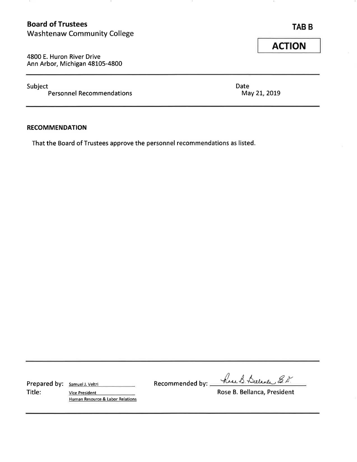# **Board of Trustees TABB TABB** Washtenaw Community College

4800 E. Huron River Drive Ann Arbor, Michigan 48105-4800

-52

Subject<br>
Personnel Recommendations<br>
Date May 21, 2019 Personnel Recommendations

#### **RECOMMENDATION**

That the Board of Trustees approve the personnel recommendations as listed .

Title: <u>Title:</u>  $Vice President$  - Title:  $Vice President$  Rose B. Bellanca, President Human Resource & Labor Relations

Prepared by: <u>samuel J. Veltri Recommended by: head B. Duclande E. N.</u>

**ACTION**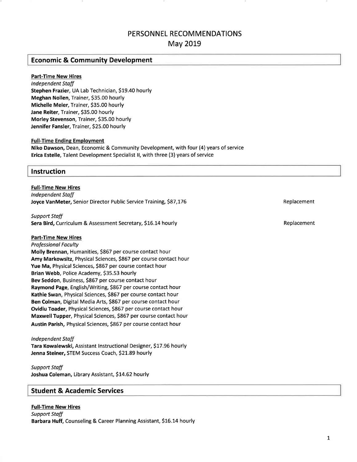# **PERSONNEL RECOMMENDATIONS**

**May 2019** 

## **Economic & Community Development**

#### **Part-Time New Hires**

*Independent Staff*  **Stephen Frazier,** UA Lab Technician, \$19.40 hourly **Meghan Nollen,** Trainer, \$35.00 hourly **Michelle Meier,** Trainer, \$35.00 hourly **Jane Reiter,** Trainer, \$35.00 hourly **Morley Stevenson,** Trainer, \$35.00 hourly **Jennifer Fansler,** Trainer, \$25.00 hourly

#### **Full-Time Ending Employment**

**Niko Dawson,** Dean, Economic & Community Development, with four (4) years of service **Erica Estelle,** Talent Development Specialist II, with three (3) years of service

#### **Instruction**

**Full-Time New Hires**  *Independent Staff*  **Joyce VanMeter,** Senior Director Public Service Training, \$87,176 **Replacement** Replacement

*Support Staff*  **Sera Bird, Curriculum & Assessment Secretary, \$16.14 hourly Replacement Replacement Replacement** 

#### **Part-Time New Hires**

*Professional Faculty*  **Molly Brennan,** Humanities, \$867 per course contact hour **Amy Markowsitz,** Physical Sciences, \$867 per course contact hour **Yue Ma,** Physical Sciences, \$867 per course contact hour **Brian Webb,** Police Academy, \$35.53 hourly **Bev Seddon,** Business, \$867 per course contact hour **Raymond Page,** English/Writing, \$867 per course contact hour **Kathie Swan,** Physical Sciences, \$867 per course contact hour **Ben Colman,** Digital Media Arts, \$867 per course contact hour **Ovidiu Toader,** Physical Sciences, \$867 per course contact hour **Maxwell Tupper,** Physical Sciences, \$867 per course contact hour **Austin Parish,** Physical Sciences, \$867 per course contact hour

#### *Independent Staff*

**Tara Kowalewski,** Assistant Instructional Designer, \$17.96 hourly **Jenna Steiner,** STEM Success Coach, \$21.89 hourly

## *Support Staff*

**Joshua Coleman,** Library Assistant, \$14.62 hourly

## **Student & Academic Services**

#### **Full-Time New Hires**  *Support Staff*  **Barbara Huff,** Counseling & Career Planning Assistant, \$16.14 hourly